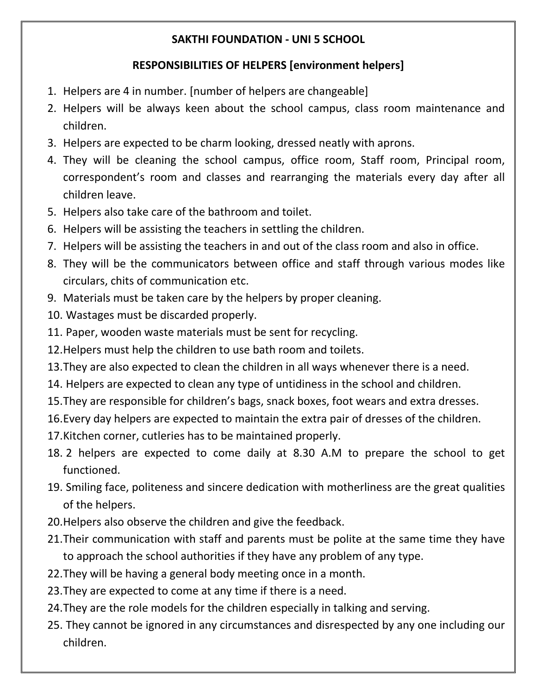## **SAKTHI FOUNDATION - UNI 5 SCHOOL**

## **RESPONSIBILITIES OF HELPERS [environment helpers]**

- 1. Helpers are 4 in number. [number of helpers are changeable]
- 2. Helpers will be always keen about the school campus, class room maintenance and children.
- 3. Helpers are expected to be charm looking, dressed neatly with aprons.
- 4. They will be cleaning the school campus, office room, Staff room, Principal room, correspondent's room and classes and rearranging the materials every day after all children leave.
- 5. Helpers also take care of the bathroom and toilet.
- 6. Helpers will be assisting the teachers in settling the children.
- 7. Helpers will be assisting the teachers in and out of the class room and also in office.
- 8. They will be the communicators between office and staff through various modes like circulars, chits of communication etc.
- 9. Materials must be taken care by the helpers by proper cleaning.
- 10. Wastages must be discarded properly.
- 11. Paper, wooden waste materials must be sent for recycling.
- 12.Helpers must help the children to use bath room and toilets.
- 13.They are also expected to clean the children in all ways whenever there is a need.
- 14. Helpers are expected to clean any type of untidiness in the school and children.
- 15.They are responsible for children's bags, snack boxes, foot wears and extra dresses.
- 16.Every day helpers are expected to maintain the extra pair of dresses of the children.
- 17.Kitchen corner, cutleries has to be maintained properly.
- 18. 2 helpers are expected to come daily at 8.30 A.M to prepare the school to get functioned.
- 19. Smiling face, politeness and sincere dedication with motherliness are the great qualities of the helpers.
- 20.Helpers also observe the children and give the feedback.
- 21.Their communication with staff and parents must be polite at the same time they have to approach the school authorities if they have any problem of any type.
- 22.They will be having a general body meeting once in a month.
- 23.They are expected to come at any time if there is a need.
- 24.They are the role models for the children especially in talking and serving.
- 25. They cannot be ignored in any circumstances and disrespected by any one including our children.